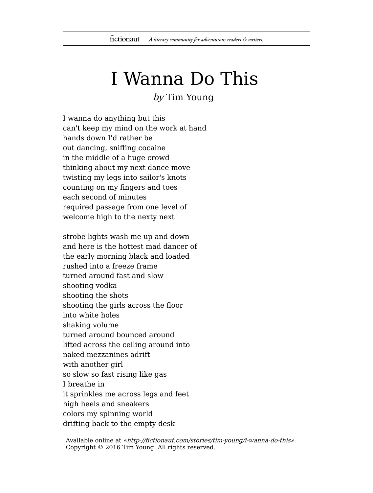## I Wanna Do This

by Tim Young

I wanna do anything but this can't keep my mind on the work at hand hands down I'd rather be out dancing, sniffing cocaine in the middle of a huge crowd thinking about my next dance move twisting my legs into sailor's knots counting on my fingers and toes each second of minutes required passage from one level of welcome high to the nexty next

strobe lights wash me up and down and here is the hottest mad dancer of the early morning black and loaded rushed into a freeze frame turned around fast and slow shooting vodka shooting the shots shooting the girls across the floor into white holes shaking volume turned around bounced around lifted across the ceiling around into naked mezzanines adrift with another girl so slow so fast rising like gas I breathe in it sprinkles me across legs and feet high heels and sneakers colors my spinning world drifting back to the empty desk

Available online at «http://fictionaut.com/stories/tim-young/i-wanna-do-this» Copyright © 2016 Tim Young. All rights reserved.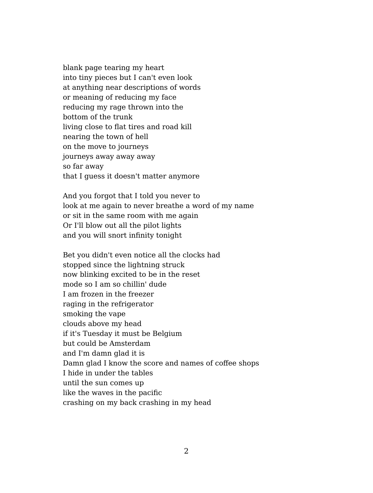blank page tearing my heart into tiny pieces but I can't even look at anything near descriptions of words or meaning of reducing my face reducing my rage thrown into the bottom of the trunk living close to flat tires and road kill nearing the town of hell on the move to journeys journeys away away away so far away that I guess it doesn't matter anymore

And you forgot that I told you never to look at me again to never breathe a word of my name or sit in the same room with me again Or I'll blow out all the pilot lights and you will snort infinity tonight

Bet you didn't even notice all the clocks had stopped since the lightning struck now blinking excited to be in the reset mode so I am so chillin' dude I am frozen in the freezer raging in the refrigerator smoking the vape clouds above my head if it's Tuesday it must be Belgium but could be Amsterdam and I'm damn glad it is Damn glad I know the score and names of coffee shops I hide in under the tables until the sun comes up like the waves in the pacific crashing on my back crashing in my head